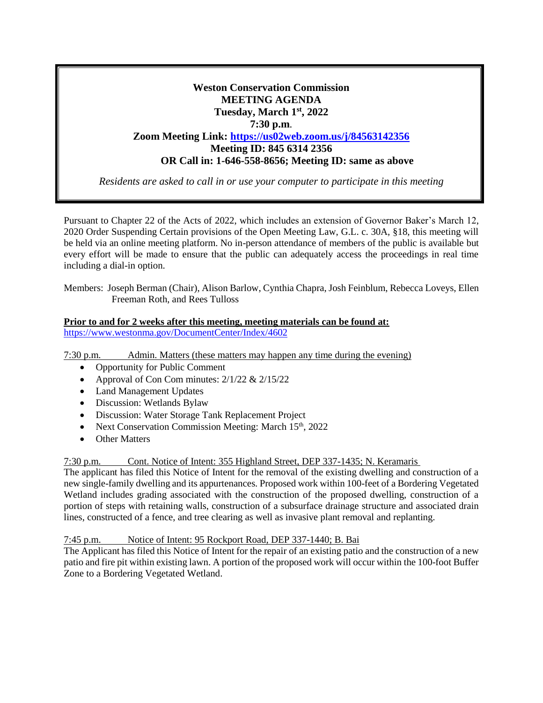# **Weston Conservation Commission MEETING AGENDA Tuesday, March 1st, 2022 7:30 p.m**. **Zoom Meeting Link: <https://us02web.zoom.us/j/84563142356> Meeting ID: 845 6314 2356 OR Call in: 1-646-558-8656; Meeting ID: same as above**

*Residents are asked to call in or use your computer to participate in this meeting*

Pursuant to Chapter 22 of the Acts of 2022, which includes an extension of Governor Baker's March 12, 2020 Order Suspending Certain provisions of the Open Meeting Law, G.L. c. 30A, §18, this meeting will be held via an online meeting platform. No in-person attendance of members of the public is available but every effort will be made to ensure that the public can adequately access the proceedings in real time including a dial-in option.

Members: Joseph Berman (Chair), Alison Barlow, Cynthia Chapra, Josh Feinblum, Rebecca Loveys, Ellen Freeman Roth, and Rees Tulloss

#### **Prior to and for 2 weeks after this meeting, meeting materials can be found at:** <https://www.westonma.gov/DocumentCenter/Index/4602>

7:30 p.m. Admin. Matters (these matters may happen any time during the evening)

- Opportunity for Public Comment
- Approval of Con Com minutes:  $2/1/22 \& 2/15/22$
- Land Management Updates
- Discussion: Wetlands Bylaw
- Discussion: Water Storage Tank Replacement Project
- Next Conservation Commission Meeting: March 15<sup>th</sup>, 2022
- Other Matters

7:30 p.m. Cont. Notice of Intent: 355 Highland Street, DEP 337-1435; N. Keramaris

The applicant has filed this Notice of Intent for the removal of the existing dwelling and construction of a new single-family dwelling and its appurtenances. Proposed work within 100-feet of a Bordering Vegetated Wetland includes grading associated with the construction of the proposed dwelling, construction of a portion of steps with retaining walls, construction of a subsurface drainage structure and associated drain lines, constructed of a fence, and tree clearing as well as invasive plant removal and replanting.

## 7:45 p.m. Notice of Intent: 95 Rockport Road, DEP 337-1440; B. Bai

The Applicant has filed this Notice of Intent for the repair of an existing patio and the construction of a new patio and fire pit within existing lawn. A portion of the proposed work will occur within the 100-foot Buffer Zone to a Bordering Vegetated Wetland.